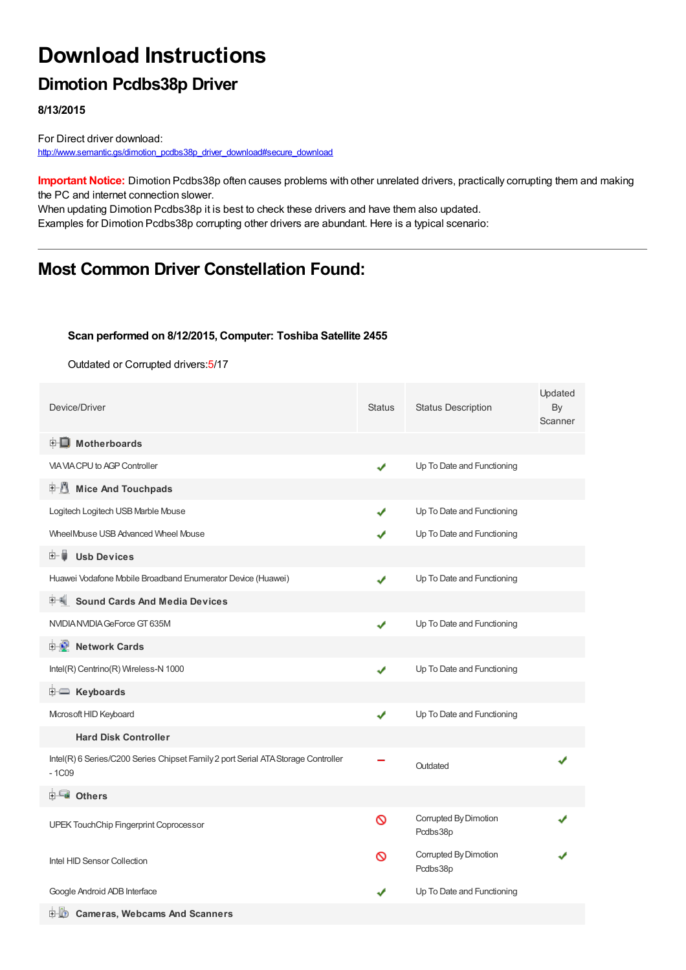# **Download Instructions**

## **Dimotion Pcdbs38p Driver**

**8/13/2015**

For Direct driver download: [http://www.semantic.gs/dimotion\\_pcdbs38p\\_driver\\_download#secure\\_download](http://www.semantic.gs/dimotion_pcdbs38p_driver_download#secure_download)

**Important Notice:** Dimotion Pcdbs38p often causes problems with other unrelated drivers, practically corrupting them and making the PC and internet connection slower.

When updating Dimotion Pcdbs38p it is best to check these drivers and have them also updated. Examples for Dimotion Pcdbs38p corrupting other drivers are abundant. Here is a typical scenario:

### **Most Common Driver Constellation Found:**

#### **Scan performed on 8/12/2015, Computer: Toshiba Satellite 2455**

Outdated or Corrupted drivers:5/17

| Device/Driver                                                                                | <b>Status</b> | <b>Status Description</b>         | Updated<br>By<br>Scanner |
|----------------------------------------------------------------------------------------------|---------------|-----------------------------------|--------------------------|
| <b>E</b> Motherboards                                                                        |               |                                   |                          |
| VIA VIA CPU to AGP Controller                                                                | ✔             | Up To Date and Functioning        |                          |
| 中心 Mice And Touchpads                                                                        |               |                                   |                          |
| Logitech Logitech USB Marble Mouse                                                           | ✔             | Up To Date and Functioning        |                          |
| WheelMouse USB Advanced Wheel Mouse                                                          |               | Up To Date and Functioning        |                          |
| 田一首<br><b>Usb Devices</b>                                                                    |               |                                   |                          |
| Huawei Vodafone Mobile Broadband Enumerator Device (Huawei)                                  | ✔             | Up To Date and Functioning        |                          |
| <b>Sound Cards And Media Devices</b>                                                         |               |                                   |                          |
| NVIDIA NVIDIA GeForce GT 635M                                                                | ✔             | Up To Date and Functioning        |                          |
| <b>E Vetwork Cards</b>                                                                       |               |                                   |                          |
| Intel(R) Centrino(R) Wireless-N 1000                                                         | ✔             | Up To Date and Functioning        |                          |
| <b>i</b> Keyboards                                                                           |               |                                   |                          |
| Microsoft HID Keyboard                                                                       | ✔             | Up To Date and Functioning        |                          |
| <b>Hard Disk Controller</b>                                                                  |               |                                   |                          |
| Intel(R) 6 Series/C200 Series Chipset Family 2 port Serial ATA Storage Controller<br>$-1C09$ |               | Outdated                          |                          |
| <b>E</b> Others                                                                              |               |                                   |                          |
| UPEK TouchChip Fingerprint Coprocessor                                                       | $\infty$      | Corrupted By Dimotion<br>Pcdbs38p |                          |
| Intel HID Sensor Collection                                                                  | ⊚             | Corrupted By Dimotion<br>Pcdbs38p |                          |
| Google Android ADB Interface                                                                 |               | Up To Date and Functioning        |                          |
| <b>D</b> Cameras, Webcams And Scanners                                                       |               |                                   |                          |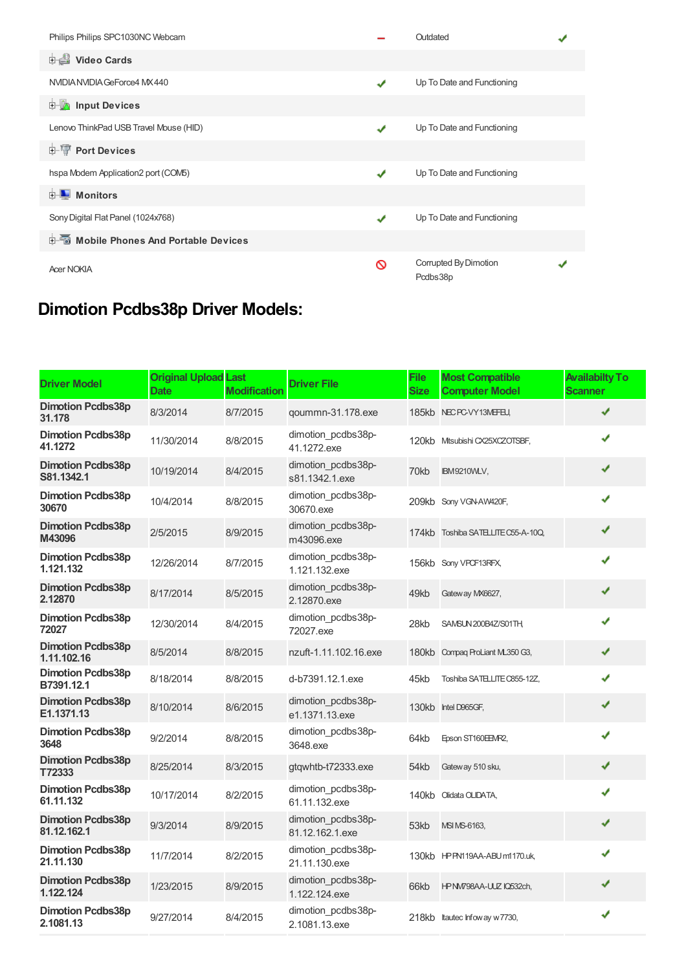| Philips Philips SPC1030NC Webcam            |   | Outdated                          |  |
|---------------------------------------------|---|-----------------------------------|--|
| Video Cards                                 |   |                                   |  |
| NVIDIA NVIDIA GeForce4 MX440                | ✔ | Up To Date and Functioning        |  |
| <b>E</b> Input Devices                      |   |                                   |  |
| Lenovo ThinkPad USB Travel Mouse (HID)      | ✔ | Up To Date and Functioning        |  |
| <b>E-</b> Port Devices                      |   |                                   |  |
| hspa Modem Application2 port (COM5)         | ✔ | Up To Date and Functioning        |  |
| <b>E</b> Monitors                           |   |                                   |  |
| Sony Digital Flat Panel (1024x768)          | ✔ | Up To Date and Functioning        |  |
| <b>E-Mobile Phones And Portable Devices</b> |   |                                   |  |
| <b>Acer NOKIA</b>                           | ଷ | Corrupted By Dimotion<br>Pcdbs38p |  |

## **Dimotion Pcdbs38p Driver Models:**

| <b>Driver Model</b>                     | <b>Original Upload Last</b><br><b>Date</b> | <b>Modification</b> | <b>Driver File</b>                    | <b>File</b><br><b>Size</b> | <b>Most Compatible</b><br><b>Computer Model</b> | <b>Availabilty To</b><br><b>Scanner</b> |
|-----------------------------------------|--------------------------------------------|---------------------|---------------------------------------|----------------------------|-------------------------------------------------|-----------------------------------------|
| <b>Dimotion Pcdbs38p</b><br>31.178      | 8/3/2014                                   | 8/7/2015            | qoummn-31.178.exe                     |                            | 185kb NEC PC-VY13MEFEU,                         | ✔                                       |
| <b>Dimotion Pcdbs38p</b><br>41.1272     | 11/30/2014                                 | 8/8/2015            | dimotion pcdbs38p-<br>41.1272.exe     |                            | 120kb Mtsubishi CX25XCZOTSBF,                   | J                                       |
| <b>Dimotion Pcdbs38p</b><br>S81.1342.1  | 10/19/2014                                 | 8/4/2015            | dimotion pcdbs38p-<br>s81.1342.1.exe  | 70kb                       | <b>IBM9210VMLV,</b>                             | ✔                                       |
| <b>Dimotion Pcdbs38p</b><br>30670       | 10/4/2014                                  | 8/8/2015            | dimotion pcdbs38p-<br>30670.exe       |                            | 209kb Sony VGN-AW420F,                          | ✔                                       |
| <b>Dimotion Pcdbs38p</b><br>M43096      | 2/5/2015                                   | 8/9/2015            | dimotion pcdbs38p-<br>m43096.exe      |                            | 174kb Toshiba SATELLITE C55-A-10Q.              | ✔                                       |
| <b>Dimotion Pcdbs38p</b><br>1.121.132   | 12/26/2014                                 | 8/7/2015            | dimotion pcdbs38p-<br>1.121.132.exe   |                            | 156kb Sony VPCF13RFX,                           | ✔                                       |
| <b>Dimotion Pcdbs38p</b><br>2.12870     | 8/17/2014                                  | 8/5/2015            | dimotion pcdbs38p-<br>2.12870.exe     | 49kb                       | Gateway MX6627,                                 | ✔                                       |
| <b>Dimotion Pcdbs38p</b><br>72027       | 12/30/2014                                 | 8/4/2015            | dimotion pcdbs38p-<br>72027.exe       | 28kb                       | SAMSUN 200B4Z/S01TH,                            | ✔                                       |
| <b>Dimotion Pcdbs38p</b><br>1.11.102.16 | 8/5/2014                                   | 8/8/2015            | nzuft-1.11.102.16.exe                 |                            | 180kb Compaq ProLiant ML350 G3,                 | ✔                                       |
| <b>Dimotion Pcdbs38p</b><br>B7391.12.1  | 8/18/2014                                  | 8/8/2015            | d-b7391.12.1.exe                      | 45kb                       | Toshiba SATELLITE C855-12Z,                     | ✔                                       |
| <b>Dimotion Pcdbs38p</b><br>E1.1371.13  | 8/10/2014                                  | 8/6/2015            | dimotion pcdbs38p-<br>e1.1371.13.exe  |                            | 130kb Intel D965GF,                             | ✔                                       |
| <b>Dimotion Pcdbs38p</b><br>3648        | 9/2/2014                                   | 8/8/2015            | dimotion pcdbs38p-<br>3648.exe        | 64kb                       | Epson ST160EEMR2,                               | ✔                                       |
| <b>Dimotion Pcdbs38p</b><br>T72333      | 8/25/2014                                  | 8/3/2015            | gtqwhtb-t72333.exe                    | 54kb                       | Gateway 510 sku,                                | ✔                                       |
| <b>Dimotion Pcdbs38p</b><br>61.11.132   | 10/17/2014                                 | 8/2/2015            | dimotion pcdbs38p-<br>61.11.132.exe   |                            | 140kb Olidata OLIDATA,                          | ✔                                       |
| <b>Dimotion Pcdbs38p</b><br>81.12.162.1 | 9/3/2014                                   | 8/9/2015            | dimotion pcdbs38p-<br>81.12.162.1.exe | 53kb                       | MSI MS-6163,                                    | ✔                                       |
| <b>Dimotion Pcdbs38p</b><br>21.11.130   | 11/7/2014                                  | 8/2/2015            | dimotion pcdbs38p-<br>21.11.130.exe   |                            | 130kb HPPN119AA-ABUm1170.uk,                    | ✔                                       |
| <b>Dimotion Pcdbs38p</b><br>1.122.124   | 1/23/2015                                  | 8/9/2015            | dimotion pcdbs38p-<br>1.122.124.exe   | 66kb                       | HPNM798AA-UUZ IQ532ch,                          | ✔                                       |
| <b>Dimotion Pcdbs38p</b><br>2.1081.13   | 9/27/2014                                  | 8/4/2015            | dimotion pcdbs38p-<br>2.1081.13.exe   |                            | 218kb Itautec Infoway w7730,                    | ✔                                       |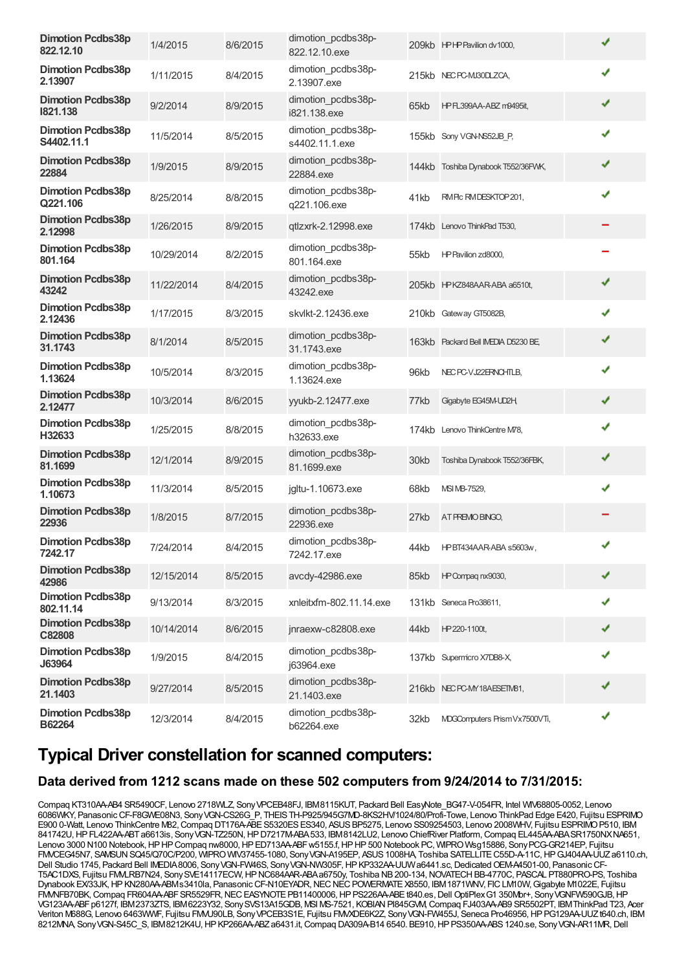| <b>Dimotion Pcdbs38p</b><br>822.12.10  | 1/4/2015   | 8/6/2015 | dimotion pcdbs38p-<br>822.12.10.exe  |      | 209kb HPHP Pavilion dv1000,         | ✔ |
|----------------------------------------|------------|----------|--------------------------------------|------|-------------------------------------|---|
| <b>Dimotion Pcdbs38p</b><br>2.13907    | 1/11/2015  | 8/4/2015 | dimotion pcdbs38p-<br>2.13907.exe    |      | 215kb NECPC-MJ30DLZCA,              | ✔ |
| <b>Dimotion Pcdbs38p</b><br>1821.138   | 9/2/2014   | 8/9/2015 | dimotion_pcdbs38p-<br>i821.138.exe   | 65kb | HPFL399AA-ABZ m9495it,              | ✔ |
| <b>Dimotion Pcdbs38p</b><br>S4402.11.1 | 11/5/2014  | 8/5/2015 | dimotion_pcdbs38p-<br>s4402.11.1.exe |      | 155kb Sony VGN-NS52JB P,            | ✔ |
| <b>Dimotion Pcdbs38p</b><br>22884      | 1/9/2015   | 8/9/2015 | dimotion pcdbs38p-<br>22884.exe      |      | 144kb Toshiba Dynabook T552/36FWK,  | ✔ |
| <b>Dimotion Pcdbs38p</b><br>Q221.106   | 8/25/2014  | 8/8/2015 | dimotion_pcdbs38p-<br>q221.106.exe   | 41kb | RMPIc RMDESKTOP 201,                | ✔ |
| <b>Dimotion Pcdbs38p</b><br>2.12998    | 1/26/2015  | 8/9/2015 | qtlzxrk-2.12998.exe                  |      | 174kb Lenovo ThinkPad T530,         |   |
| <b>Dimotion Pcdbs38p</b><br>801.164    | 10/29/2014 | 8/2/2015 | dimotion pcdbs38p-<br>801.164.exe    | 55kb | HP Pavilion zd8000,                 |   |
| <b>Dimotion Pcdbs38p</b><br>43242      | 11/22/2014 | 8/4/2015 | dimotion pcdbs38p-<br>43242.exe      |      | 205kb HPKZ848AAR-ABA a6510t,        | ✔ |
| <b>Dimotion Pcdbs38p</b><br>2.12436    | 1/17/2015  | 8/3/2015 | skylkt-2.12436.exe                   |      | 210kb Gateway GT5082B,              | ✔ |
| <b>Dimotion Pcdbs38p</b><br>31.1743    | 8/1/2014   | 8/5/2015 | dimotion_pcdbs38p-<br>31.1743.exe    |      | 163kb Packard Bell IMEDIA D5230 BE, | ✔ |
| <b>Dimotion Pcdbs38p</b><br>1.13624    | 10/5/2014  | 8/3/2015 | dimotion_pcdbs38p-<br>1.13624.exe    | 96kb | NEC PC-VJ22ERNOHTLB,                | ✔ |
| <b>Dimotion Pcdbs38p</b><br>2.12477    | 10/3/2014  | 8/6/2015 | yyukb-2.12477.exe                    | 77kb | Gigabyte EG45M-UD2H,                | ✔ |
| <b>Dimotion Pcdbs38p</b><br>H32633     | 1/25/2015  | 8/8/2015 | dimotion pcdbs38p-<br>h32633.exe     |      | 174kb Lenovo ThinkCentre M78,       | ✔ |
| <b>Dimotion Pcdbs38p</b><br>81.1699    | 12/1/2014  | 8/9/2015 | dimotion_pcdbs38p-<br>81.1699.exe    | 30kb | Toshiba Dynabook T552/36FBK,        | ✔ |
| <b>Dimotion Pcdbs38p</b><br>1.10673    | 11/3/2014  | 8/5/2015 | jgltu-1.10673.exe                    | 68kb | MSI MB-7529,                        |   |
| <b>Dimotion Pcdbs38p</b><br>22936      | 1/8/2015   | 8/7/2015 | dimotion_pcdbs38p-<br>22936.exe      | 27kb | AT PREMOBINGO,                      |   |
| <b>Dimotion Pcdbs38p</b><br>7242.17    | 7/24/2014  | 8/4/2015 | dimotion pcdbs38p-<br>7242.17.exe    | 44kb | HPBT434AAR-ABA s5603w,              | ✔ |
| <b>Dimotion Pcdbs38p</b><br>42986      | 12/15/2014 | 8/5/2015 | avcdy-42986.exe                      | 85kb | HP Compag nx9030,                   | ✔ |
| <b>Dimotion Pcdbs38p</b><br>802.11.14  | 9/13/2014  | 8/3/2015 | xnleitxfm-802.11.14.exe              |      | 131kb Seneca Pro38611,              | ✔ |
| <b>Dimotion Pcdbs38p</b><br>C82808     | 10/14/2014 | 8/6/2015 | jnraexw-c82808.exe                   | 44kb | HP 220-1100t,                       | ✔ |
| <b>Dimotion Pcdbs38p</b><br>J63964     | 1/9/2015   | 8/4/2015 | dimotion pcdbs38p-<br>j63964.exe     |      | 137kb Supermicro X7DB8-X,           | ✔ |
| <b>Dimotion Pcdbs38p</b><br>21.1403    | 9/27/2014  | 8/5/2015 | dimotion pcdbs38p-<br>21.1403.exe    |      | 216kb NECPC-MY18AESETM81,           | ✔ |
| <b>Dimotion Pcdbs38p</b><br>B62264     | 12/3/2014  | 8/4/2015 | dimotion pcdbs38p-<br>b62264.exe     | 32kb | MDGComputers PrismVx7500VTi,        | ✔ |

## **Typical Driver constellation for scanned computers:**

#### **Data derived from 1212 scans made on these 502 computers from 9/24/2014 to 7/31/2015:**

Compaq KT310AA-AB4 SR5490CF, Lenovo 2718WLZ, SonyVPCEB48FJ, IBM8115KUT, Packard Bell EasyNote\_BG47-V-054FR, Intel WIV68805-0052, Lenovo 6086WKY, PanasonicCF-F8GWE08N3, SonyVGN-CS26G\_P, THEISTH-P925/945G7MD-8KS2HV/1024/80/Profi-Towe, Lenovo ThinkPad Edge E420, Fujitsu ESPRIMO E900 0-Watt, Lenovo ThinkCentre M82,Compaq DT176A-ABES5320ESES340, ASUSBP5275, Lenovo SS09254503, Lenovo 2008WHV, Fujitsu ESPRIMOP510, IBM 841742U,HPFL422AA-ABTa6613is, SonyVGN-TZ250N,HPD7217M-ABA533, IBM8142LU2, Lenovo ChiefRiver Platform,Compaq EL445AA-ABASR1750NXNA651, Lenovo 3000 N100 Notebook, HP HP Compaq nw8000, HP ED713AA-ABF w5155.f, HP HP 500 Notebook PC, WIPRO Wsg15886, Sony PCG-GR214EP, Fujitsu FMVCEG45N7, SAMSUNSQ45/Q70C/P200, WIPROWIV37455-1080, SonyVGN-A195EP, ASUS1008HA, Toshiba SATELLITEC55D-A-11C,HPGJ404AA-UUZa6110.ch, Dell Studio 1745, Packard Bell IMEDIA8006, Sony VGN-FW46S, Sony VGN-NW305F, HP KP332AA-UUW a6441.sc, Dedicated OEM-A4501-00, Panasonic CF-T5AC1DXS, Fujitsu FMVLRB7N24, SonySVE14117ECW,HPNC684AAR-ABAa6750y, Toshiba NB200-134,NOVATECHBB-4770C, PASCAL PT880PRO-PS, Toshiba Dynabook EX/33JK, HP KN280AA-ABMs3410la, Panasonic CF-N10EYADR, NEC NEC POWERMATE X8550, IBM1871WNV, FIC LM10W, Gigabyte M1022E, Fujitsu FMMFB70BK, Compaq FR604AA-ABF SR5529FR, NEC EASYNOTE PB11400006, HP PS226AA-ABEt840.es, Dell OptiPlex G1 350Mbr+, Sony VGNFW590GJB, HP VG123AA-ABF p6127f, IBM2373ZTS, IBM6223Y32, SonySVS13A15GDB, MSI MS-7521, KOBIAN PI845GVM, Compaq FJ403AA-AB9 SR5502PT, IBMThinkPad T23, Acer Veriton M688G, Lenovo 6463WWF, Fujitsu FMVU90LB, SonyVPCEB3S1E, Fujitsu FMVXDE6K2Z, SonyVGN-FW455J, Seneca Pro46956,HPPG129AA-UUZt640.ch, IBM 8212MNA, SonyVGN-S45C\_S, IBM8212K4U,HPKP266AA-ABZa6431.it,Compaq DA309A-B14 6540. BE910,HPPS350AA-ABS1240.se, SonyVGN-AR11MR,Dell